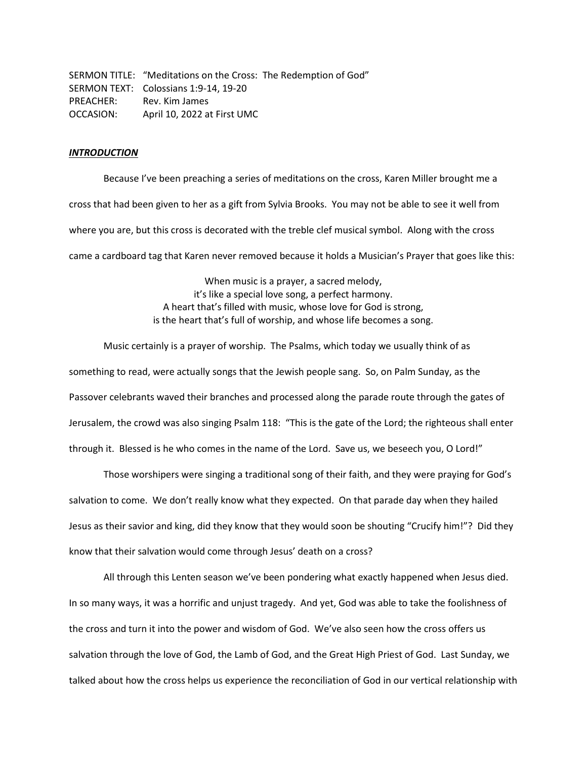SERMON TITLE: "Meditations on the Cross: The Redemption of God" SERMON TEXT: Colossians 1:9-14, 19-20 PREACHER: Rev. Kim James OCCASION: April 10, 2022 at First UMC

## *INTRODUCTION*

Because I've been preaching a series of meditations on the cross, Karen Miller brought me a cross that had been given to her as a gift from Sylvia Brooks. You may not be able to see it well from where you are, but this cross is decorated with the treble clef musical symbol. Along with the cross came a cardboard tag that Karen never removed because it holds a Musician's Prayer that goes like this:

> When music is a prayer, a sacred melody, it's like a special love song, a perfect harmony. A heart that's filled with music, whose love for God is strong, is the heart that's full of worship, and whose life becomes a song.

Music certainly is a prayer of worship. The Psalms, which today we usually think of as something to read, were actually songs that the Jewish people sang. So, on Palm Sunday, as the Passover celebrants waved their branches and processed along the parade route through the gates of Jerusalem, the crowd was also singing Psalm 118: "This is the gate of the Lord; the righteous shall enter through it. Blessed is he who comes in the name of the Lord. Save us, we beseech you, O Lord!"

Those worshipers were singing a traditional song of their faith, and they were praying for God's salvation to come. We don't really know what they expected. On that parade day when they hailed Jesus as their savior and king, did they know that they would soon be shouting "Crucify him!"? Did they know that their salvation would come through Jesus' death on a cross?

All through this Lenten season we've been pondering what exactly happened when Jesus died. In so many ways, it was a horrific and unjust tragedy. And yet, God was able to take the foolishness of the cross and turn it into the power and wisdom of God. We've also seen how the cross offers us salvation through the love of God, the Lamb of God, and the Great High Priest of God. Last Sunday, we talked about how the cross helps us experience the reconciliation of God in our vertical relationship with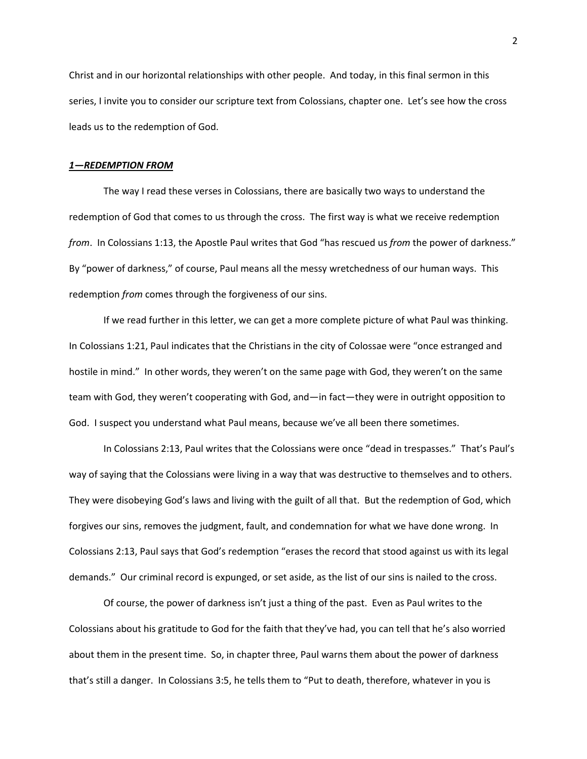Christ and in our horizontal relationships with other people. And today, in this final sermon in this series, I invite you to consider our scripture text from Colossians, chapter one. Let's see how the cross leads us to the redemption of God.

## *1—REDEMPTION FROM*

The way I read these verses in Colossians, there are basically two ways to understand the redemption of God that comes to us through the cross. The first way is what we receive redemption *from*. In Colossians 1:13, the Apostle Paul writes that God "has rescued us *from* the power of darkness." By "power of darkness," of course, Paul means all the messy wretchedness of our human ways. This redemption *from* comes through the forgiveness of our sins.

 If we read further in this letter, we can get a more complete picture of what Paul was thinking. In Colossians 1:21, Paul indicates that the Christians in the city of Colossae were "once estranged and hostile in mind." In other words, they weren't on the same page with God, they weren't on the same team with God, they weren't cooperating with God, and—in fact—they were in outright opposition to God. I suspect you understand what Paul means, because we've all been there sometimes.

In Colossians 2:13, Paul writes that the Colossians were once "dead in trespasses." That's Paul's way of saying that the Colossians were living in a way that was destructive to themselves and to others. They were disobeying God's laws and living with the guilt of all that. But the redemption of God, which forgives our sins, removes the judgment, fault, and condemnation for what we have done wrong. In Colossians 2:13, Paul says that God's redemption "erases the record that stood against us with its legal demands." Our criminal record is expunged, or set aside, as the list of our sins is nailed to the cross.

Of course, the power of darkness isn't just a thing of the past. Even as Paul writes to the Colossians about his gratitude to God for the faith that they've had, you can tell that he's also worried about them in the present time. So, in chapter three, Paul warns them about the power of darkness that's still a danger. In Colossians 3:5, he tells them to "Put to death, therefore, whatever in you is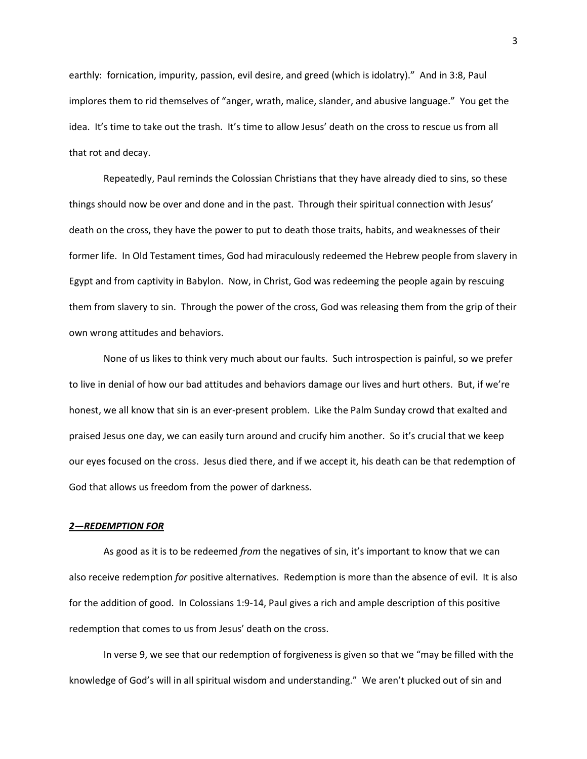earthly: fornication, impurity, passion, evil desire, and greed (which is idolatry)." And in 3:8, Paul implores them to rid themselves of "anger, wrath, malice, slander, and abusive language." You get the idea. It's time to take out the trash. It's time to allow Jesus' death on the cross to rescue us from all that rot and decay.

Repeatedly, Paul reminds the Colossian Christians that they have already died to sins, so these things should now be over and done and in the past. Through their spiritual connection with Jesus' death on the cross, they have the power to put to death those traits, habits, and weaknesses of their former life. In Old Testament times, God had miraculously redeemed the Hebrew people from slavery in Egypt and from captivity in Babylon. Now, in Christ, God was redeeming the people again by rescuing them from slavery to sin. Through the power of the cross, God was releasing them from the grip of their own wrong attitudes and behaviors.

None of us likes to think very much about our faults. Such introspection is painful, so we prefer to live in denial of how our bad attitudes and behaviors damage our lives and hurt others. But, if we're honest, we all know that sin is an ever-present problem. Like the Palm Sunday crowd that exalted and praised Jesus one day, we can easily turn around and crucify him another. So it's crucial that we keep our eyes focused on the cross. Jesus died there, and if we accept it, his death can be that redemption of God that allows us freedom from the power of darkness.

## *2—REDEMPTION FOR*

As good as it is to be redeemed *from* the negatives of sin, it's important to know that we can also receive redemption *for* positive alternatives. Redemption is more than the absence of evil. It is also for the addition of good. In Colossians 1:9-14, Paul gives a rich and ample description of this positive redemption that comes to us from Jesus' death on the cross.

In verse 9, we see that our redemption of forgiveness is given so that we "may be filled with the knowledge of God's will in all spiritual wisdom and understanding." We aren't plucked out of sin and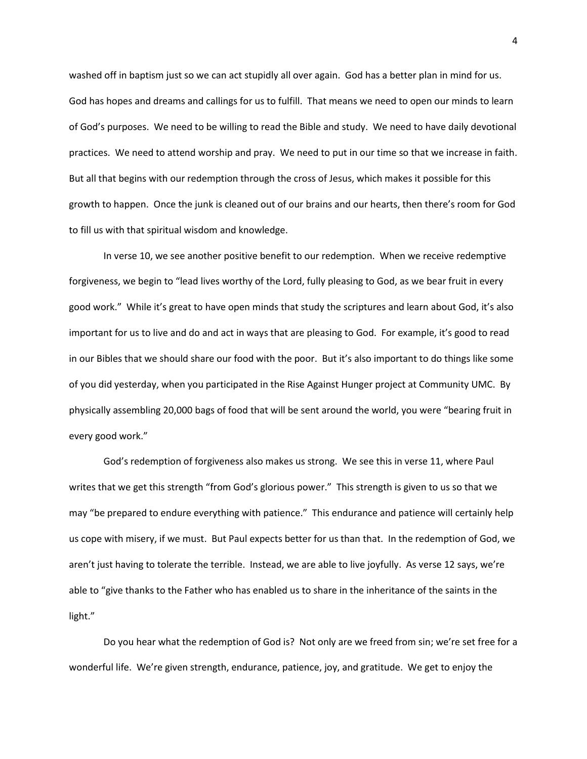washed off in baptism just so we can act stupidly all over again. God has a better plan in mind for us. God has hopes and dreams and callings for us to fulfill. That means we need to open our minds to learn of God's purposes. We need to be willing to read the Bible and study. We need to have daily devotional practices. We need to attend worship and pray. We need to put in our time so that we increase in faith. But all that begins with our redemption through the cross of Jesus, which makes it possible for this growth to happen. Once the junk is cleaned out of our brains and our hearts, then there's room for God to fill us with that spiritual wisdom and knowledge.

In verse 10, we see another positive benefit to our redemption. When we receive redemptive forgiveness, we begin to "lead lives worthy of the Lord, fully pleasing to God, as we bear fruit in every good work." While it's great to have open minds that study the scriptures and learn about God, it's also important for us to live and do and act in ways that are pleasing to God. For example, it's good to read in our Bibles that we should share our food with the poor. But it's also important to do things like some of you did yesterday, when you participated in the Rise Against Hunger project at Community UMC. By physically assembling 20,000 bags of food that will be sent around the world, you were "bearing fruit in every good work."

God's redemption of forgiveness also makes us strong. We see this in verse 11, where Paul writes that we get this strength "from God's glorious power." This strength is given to us so that we may "be prepared to endure everything with patience." This endurance and patience will certainly help us cope with misery, if we must. But Paul expects better for us than that. In the redemption of God, we aren't just having to tolerate the terrible. Instead, we are able to live joyfully. As verse 12 says, we're able to "give thanks to the Father who has enabled us to share in the inheritance of the saints in the light."

Do you hear what the redemption of God is? Not only are we freed from sin; we're set free for a wonderful life. We're given strength, endurance, patience, joy, and gratitude. We get to enjoy the